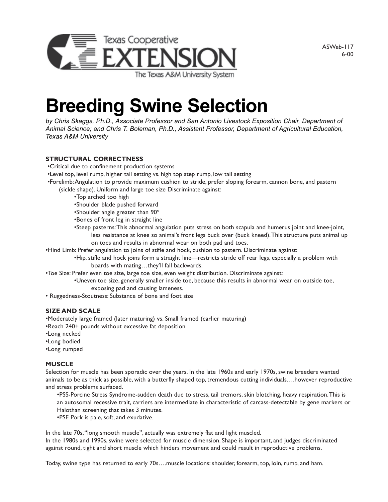

ASWeb-117 6-00

# **Breeding Swine Selection**

*by Chris Skaggs, Ph.D., Associate Professor and San Antonio Livestock Exposition Chair, Department of Animal Science; and Chris T. Boleman, Ph.D., Assistant Professor, Department of Agricultural Education, Texas A&M University*

### **STRUCTURAL CORRECTNESS**

- •Critical due to confinement production systems
- •Level top, level rump, higher tail setting vs. high top step rump, low tail setting
- •Forelimb: Angulation to provide maximum cushion to stride, prefer sloping forearm, cannon bone, and pastern (sickle shape). Uniform and large toe size Discriminate against:
	- •Top arched too high
	- •Shoulder blade pushed forward
	- •Shoulder angle greater than 90º
	- •Bones of front leg in straight line
	- •Steep pasterns: This abnormal angulation puts stress on both scapula and humerus joint and knee-joint, less resistance at knee so animal's front legs buck over (buck kneed). This structure puts animal up on toes and results in abnormal wear on both pad and toes.
- •Hind Limb: Prefer angulation to joins of stifle and hock, cushion to pastern. Discriminate against:
	- •Hip, stifle and hock joins form a straight line—restricts stride off rear legs, especially a problem with boards with mating…they'll fall backwards.
- •Toe Size: Prefer even toe size, large toe size, even weight distribution. Discriminate against:
	- •Uneven toe size, generally smaller inside toe, because this results in abnormal wear on outside toe, exposing pad and causing lameness.
- Ruggedness-Stoutness: Substance of bone and foot size

#### **SIZE AND SCALE**

•Moderately large framed (later maturing) vs. Small framed (earlier maturing)

- •Reach 240+ pounds without excessive fat deposition
- •Long necked
- •Long bodied
- •Long rumped

#### **MUSCLE**

Selection for muscle has been sporadic over the years. In the late 1960s and early 1970s, swine breeders wanted animals to be as thick as possible, with a butterfly shaped top, tremendous cutting individuals….however reproductive and stress problems surfaced.

•PSS-Porcine Stress Syndrome-sudden death due to stress, tail tremors, skin blotching, heavy respiration. This is an autosomal recessive trait, carriers are intermediate in characteristic of carcass-detectable by gene markers or Halothan screening that takes 3 minutes.

•PSE Pork is pale, soft, and exudative.

In the late 70s, "long smooth muscle", actually was extremely flat and light muscled.

In the 1980s and 1990s, swine were selected for muscle dimension. Shape is important, and judges discriminated against round, tight and short muscle which hinders movement and could result in reproductive problems.

Today, swine type has returned to early 70s….muscle locations: shoulder, forearm, top, loin, rump, and ham.